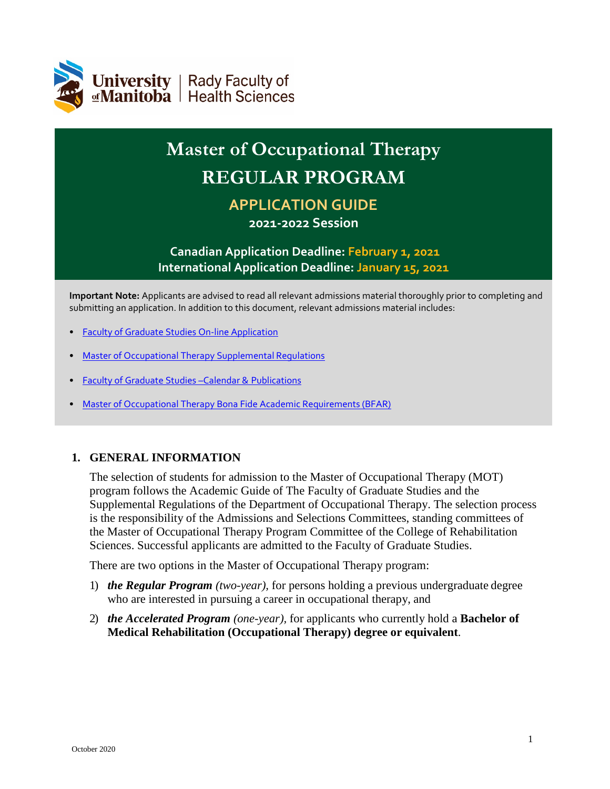

# **Master of Occupational Therapy REGULAR PROGRAM APPLICATION GUIDE**

# **2021-2022 Session**

# **Canadian Application Deadline: February 1, 2021 International Application Deadline: January 15, 2021**

**Important Note:** Applicants are advised to read all relevant admissions material thoroughly prior to completing and submitting an application. In addition to this document, relevant admissions material includes:

- [Faculty of Graduate Studies On-line](http://umanitoba.ca/faculties/graduate_studies/admissions/programs/occupational_therapy.html) Application
- [Master of Occupational Therapy Supplemental](http://umanitoba.ca/faculties/graduate_studies/admin/supplemental_regulations.html) Regulations
- [Faculty of Graduate Studies –Calendar &](http://umanitoba.ca/faculties/graduate_studies/publications/index.html) Publications
- [Master of Occupational Therapy Bona Fide Academic Requirements](https://umanitoba.ca/faculties/graduate_studies/admin/bfar.html) (BFAR)

### **1. GENERAL INFORMATION**

The selection of students for admission to the Master of Occupational Therapy (MOT) program follows the Academic Guide of The Faculty of Graduate Studies and the Supplemental Regulations of the Department of Occupational Therapy. The selection process is the responsibility of the Admissions and Selections Committees, standing committees of the Master of Occupational Therapy Program Committee of the College of Rehabilitation Sciences. Successful applicants are admitted to the Faculty of Graduate Studies.

There are two options in the Master of Occupational Therapy program:

- 1) *the Regular Program (two-year),* for persons holding a previous undergraduate degree who are interested in pursuing a career in occupational therapy, and
- 2) *the Accelerated Program (one-year),* for applicants who currently hold a **Bachelor of Medical Rehabilitation (Occupational Therapy) degree or equivalent**.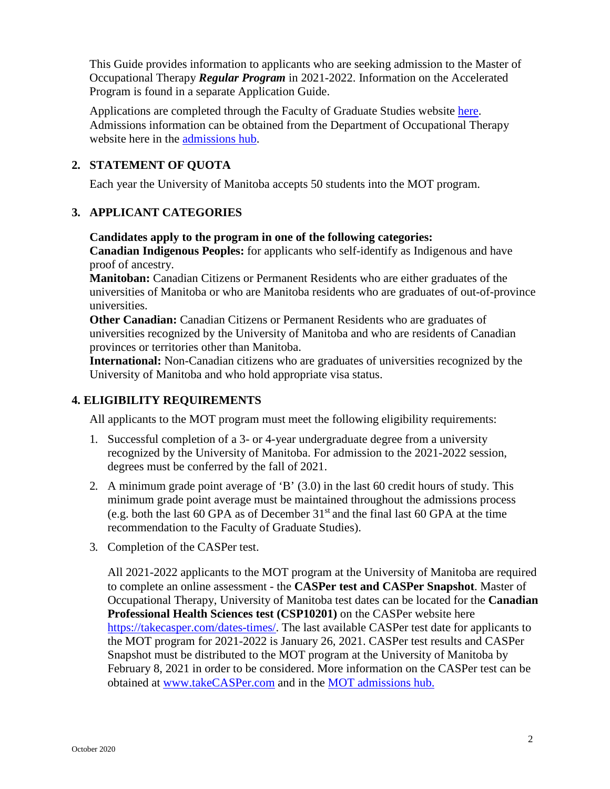This Guide provides information to applicants who are seeking admission to the Master of Occupational Therapy *Regular Program* in 2021-2022. Information on the Accelerated Program is found in a separate Application Guide.

Applications are completed through the Faculty of Graduate Studies website [here.](http://umanitoba.ca/faculties/graduate_studies/admissions/programs/occupational_therapy.html) Admissions information can be obtained from the Department of Occupational Therapy website here in the [admissions hub.](http://umanitoba.ca/rehabsciences/ot/admissions_hub.html)

# **2. STATEMENT OF QUOTA**

Each year the University of Manitoba accepts 50 students into the MOT program.

# **3. APPLICANT CATEGORIES**

**Candidates apply to the program in one of the following categories:**

**Canadian Indigenous Peoples:** for applicants who self-identify as Indigenous and have proof of ancestry.

**Manitoban:** Canadian Citizens or Permanent Residents who are either graduates of the universities of Manitoba or who are Manitoba residents who are graduates of out-of-province universities.

**Other Canadian:** Canadian Citizens or Permanent Residents who are graduates of universities recognized by the University of Manitoba and who are residents of Canadian provinces or territories other than Manitoba.

**International:** Non-Canadian citizens who are graduates of universities recognized by the University of Manitoba and who hold appropriate visa status.

# **4. ELIGIBILITY REQUIREMENTS**

All applicants to the MOT program must meet the following eligibility requirements:

- 1. Successful completion of a 3- or 4-year undergraduate degree from a university recognized by the University of Manitoba. For admission to the 2021-2022 session, degrees must be conferred by the fall of 2021.
- 2. A minimum grade point average of 'B' (3.0) in the last 60 credit hours of study. This minimum grade point average must be maintained throughout the admissions process (e.g. both the last 60 GPA as of December  $31<sup>st</sup>$  and the final last 60 GPA at the time recommendation to the Faculty of Graduate Studies).
- 3. Completion of the CASPer test.

All 2021-2022 applicants to the MOT program at the University of Manitoba are required to complete an online assessment - the **CASPer test and CASPer Snapshot**. Master of Occupational Therapy, University of Manitoba test dates can be located for the **Canadian Professional Health Sciences test (CSP10201)** on the CASPer website here [https://takecasper.com/dates-times/.](https://takecasper.com/dates-times/) The last available CASPer test date for applicants to the MOT program for 2021-2022 is January 26, 2021. CASPer test results and CASPer Snapshot must be distributed to the MOT program at the University of Manitoba by February 8, 2021 in order to be considered. More information on the CASPer test can be obtained at [www.takeCASPer.com](http://www.takecasper.com/) and in the [MOT admissions](http://umanitoba.ca/rehabsciences/ot/admissions_hub.html) hub.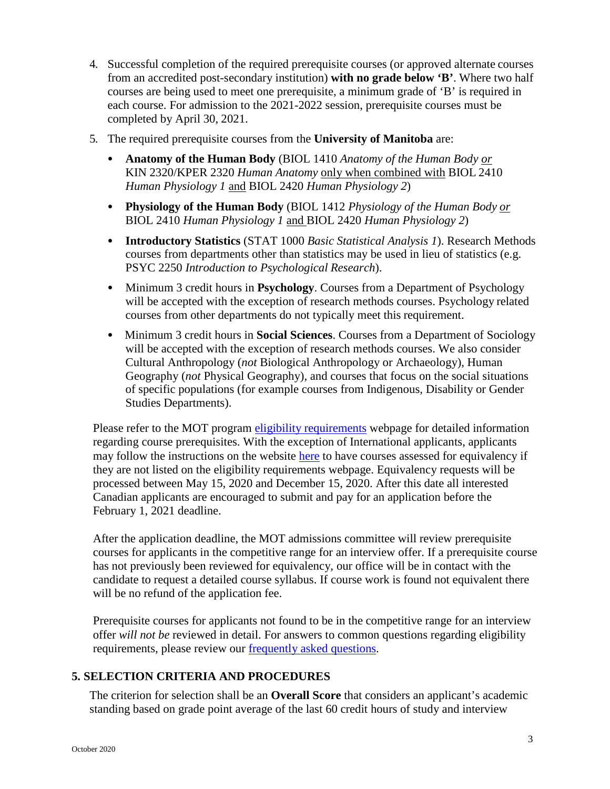- 4. Successful completion of the required prerequisite courses (or approved alternate courses from an accredited post-secondary institution) **with no grade below 'B'**. Where two half courses are being used to meet one prerequisite, a minimum grade of 'B' is required in each course. For admission to the 2021-2022 session, prerequisite courses must be completed by April 30, 2021.
- 5. The required prerequisite courses from the **University of Manitoba** are:
	- **Anatomy of the Human Body** (BIOL 1410 *Anatomy of the Human Body or* KIN 2320/KPER 2320 *Human Anatomy* only when combined with BIOL 2410 *Human Physiology 1* and BIOL 2420 *Human Physiology 2*)
	- **Physiology of the Human Body** (BIOL 1412 *Physiology of the Human Body or* BIOL 2410 *Human Physiology 1* and BIOL 2420 *Human Physiology 2*)
	- **Introductory Statistics** (STAT 1000 *Basic Statistical Analysis 1*). Research Methods courses from departments other than statistics may be used in lieu of statistics (e.g. PSYC 2250 *Introduction to Psychological Research*).
	- Minimum 3 credit hours in **Psychology**. Courses from a Department of Psychology will be accepted with the exception of research methods courses. Psychology related courses from other departments do not typically meet this requirement.
	- Minimum 3 credit hours in **Social Sciences**. Courses from a Department of Sociology will be accepted with the exception of research methods courses. We also consider Cultural Anthropology (*not* Biological Anthropology or Archaeology), Human Geography (*not* Physical Geography), and courses that focus on the social situations of specific populations (for example courses from Indigenous, Disability or Gender Studies Departments).

Please refer to the MOT program [eligibility requirements](http://umanitoba.ca/rehabsciences/ot/ot_eligibility.html) webpage for detailed information regarding course prerequisites. With the exception of International applicants, applicants may follow the instructions on the website [here](http://umanitoba.ca/rehabsciences/ot/8976.html) to have courses assessed for equivalency if they are not listed on the eligibility requirements webpage. Equivalency requests will be processed between May 15, 2020 and December 15, 2020. After this date all interested Canadian applicants are encouraged to submit and pay for an application before the February 1, 2021 deadline.

After the application deadline, the MOT admissions committee will review prerequisite courses for applicants in the competitive range for an interview offer. If a prerequisite course has not previously been reviewed for equivalency, our office will be in contact with the candidate to request a detailed course syllabus. If course work is found not equivalent there will be no refund of the application fee.

Prerequisite courses for applicants not found to be in the competitive range for an interview offer *will not be* reviewed in detail. For answers to common questions regarding eligibility requirements, please review our **frequently asked questions**.

### **5. SELECTION CRITERIA AND PROCEDURES**

The criterion for selection shall be an **Overall Score** that considers an applicant's academic standing based on grade point average of the last 60 credit hours of study and interview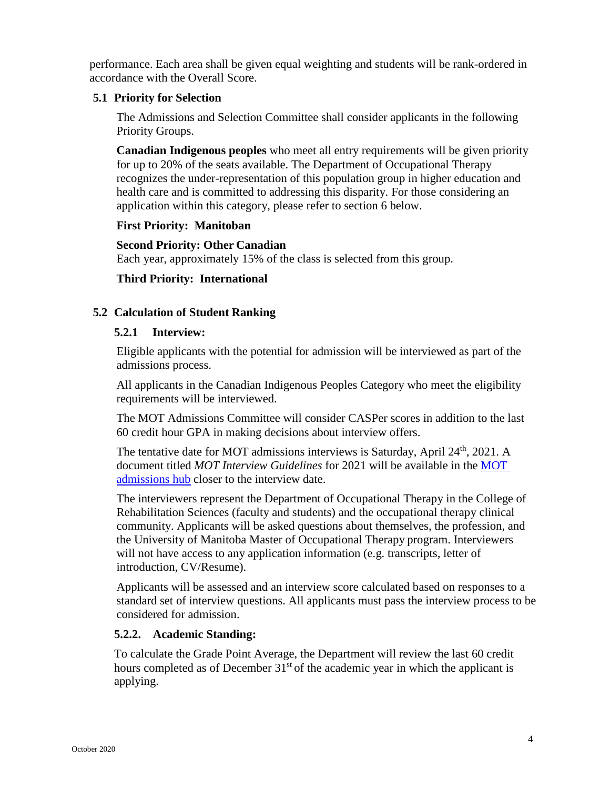performance. Each area shall be given equal weighting and students will be rank-ordered in accordance with the Overall Score.

#### **5.1 Priority for Selection**

The Admissions and Selection Committee shall consider applicants in the following Priority Groups.

**Canadian Indigenous peoples** who meet all entry requirements will be given priority for up to 20% of the seats available. The Department of Occupational Therapy recognizes the under-representation of this population group in higher education and health care and is committed to addressing this disparity. For those considering an application within this category, please refer to section 6 below.

### **First Priority: Manitoban**

#### **Second Priority: Other Canadian**

Each year, approximately 15% of the class is selected from this group.

### **Third Priority: International**

## **5.2 Calculation of Student Ranking**

#### **5.2.1 Interview:**

Eligible applicants with the potential for admission will be interviewed as part of the admissions process.

All applicants in the Canadian Indigenous Peoples Category who meet the eligibility requirements will be interviewed.

The MOT Admissions Committee will consider CASPer scores in addition to the last 60 credit hour GPA in making decisions about interview offers.

The tentative date for MOT admissions interviews is Saturday, April 24<sup>th</sup>, 2021. A document titled *MOT Interview Guidelines* for 2021 will be available in the [MOT](http://umanitoba.ca/rehabsciences/ot/admissions_hub.html)  [admissions hub](http://umanitoba.ca/rehabsciences/ot/admissions_hub.html) closer to the interview date.

The interviewers represent the Department of Occupational Therapy in the College of Rehabilitation Sciences (faculty and students) and the occupational therapy clinical community. Applicants will be asked questions about themselves, the profession, and the University of Manitoba Master of Occupational Therapy program. Interviewers will not have access to any application information (e.g. transcripts, letter of introduction, CV/Resume).

Applicants will be assessed and an interview score calculated based on responses to a standard set of interview questions. All applicants must pass the interview process to be considered for admission.

### **5.2.2. Academic Standing:**

To calculate the Grade Point Average, the Department will review the last 60 credit hours completed as of December  $31<sup>st</sup>$  of the academic year in which the applicant is applying.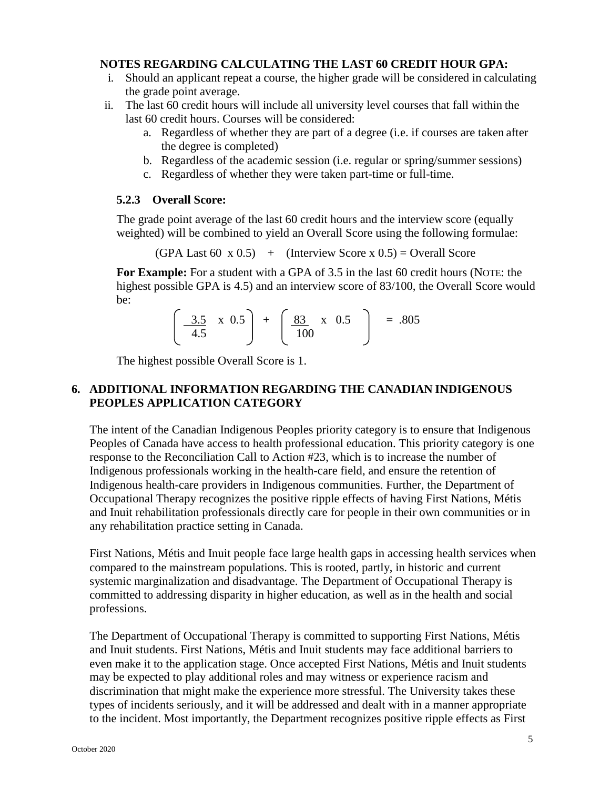#### **NOTES REGARDING CALCULATING THE LAST 60 CREDIT HOUR GPA:**

- i. Should an applicant repeat a course, the higher grade will be considered in calculating the grade point average.
- ii. The last 60 credit hours will include all university level courses that fall within the last 60 credit hours. Courses will be considered:
	- a. Regardless of whether they are part of a degree (i.e. if courses are taken after the degree is completed)
	- b. Regardless of the academic session (i.e. regular or spring/summer sessions)
	- c. Regardless of whether they were taken part-time or full-time.

#### **5.2.3 Overall Score:**

The grade point average of the last 60 credit hours and the interview score (equally weighted) will be combined to yield an Overall Score using the following formulae:

 $(GPA$  Last 60 x 0.5) + (Interview Score x 0.5) = Overall Score

**For Example:** For a student with a GPA of 3.5 in the last 60 credit hours (NOTE: the highest possible GPA is 4.5) and an interview score of 83/100, the Overall Score would be:

|  | $3.5 \times 0.5$ + $83 \times 0.5$ | $=.805$ |
|--|------------------------------------|---------|
|  | 100                                |         |
|  |                                    |         |

The highest possible Overall Score is 1.

#### **6. ADDITIONAL INFORMATION REGARDING THE CANADIAN INDIGENOUS PEOPLES APPLICATION CATEGORY**

The intent of the Canadian Indigenous Peoples priority category is to ensure that Indigenous Peoples of Canada have access to health professional education. This priority category is one response to the Reconciliation Call to Action #23, which is to increase the number of Indigenous professionals working in the health-care field, and ensure the retention of Indigenous health-care providers in Indigenous communities. Further, the Department of Occupational Therapy recognizes the positive ripple effects of having First Nations, Métis and Inuit rehabilitation professionals directly care for people in their own communities or in any rehabilitation practice setting in Canada.

First Nations, Métis and Inuit people face large health gaps in accessing health services when compared to the mainstream populations. This is rooted, partly, in historic and current systemic marginalization and disadvantage. The Department of Occupational Therapy is committed to addressing disparity in higher education, as well as in the health and social professions.

The Department of Occupational Therapy is committed to supporting First Nations, Métis and Inuit students. First Nations, Métis and Inuit students may face additional barriers to even make it to the application stage. Once accepted First Nations, Métis and Inuit students may be expected to play additional roles and may witness or experience racism and discrimination that might make the experience more stressful. The University takes these types of incidents seriously, and it will be addressed and dealt with in a manner appropriate to the incident. Most importantly, the Department recognizes positive ripple effects as First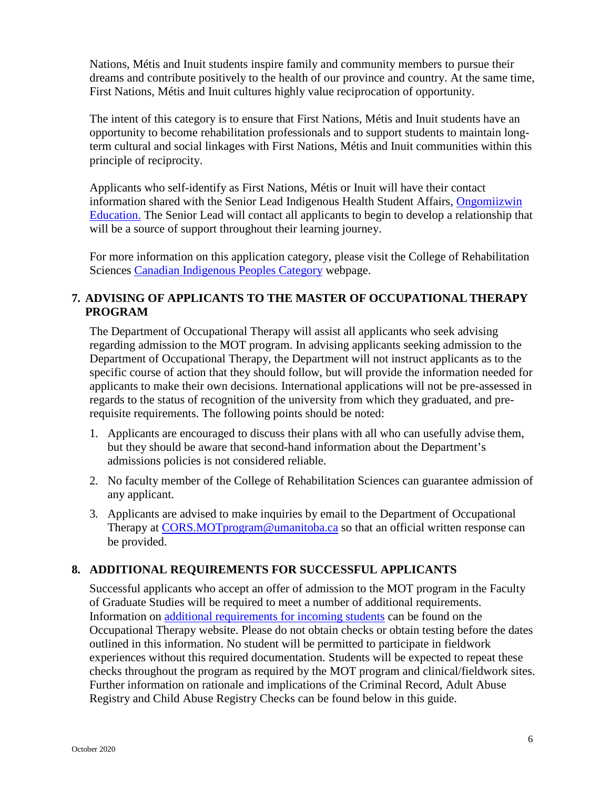Nations, Métis and Inuit students inspire family and community members to pursue their dreams and contribute positively to the health of our province and country. At the same time, First Nations, Métis and Inuit cultures highly value reciprocation of opportunity.

The intent of this category is to ensure that First Nations, Métis and Inuit students have an opportunity to become rehabilitation professionals and to support students to maintain longterm cultural and social linkages with First Nations, Métis and Inuit communities within this principle of reciprocity.

Applicants who self-identify as First Nations, Métis or Inuit will have their contact information shared with the Senior Lead Indigenous Health Student Affairs, [Ongomiizwin](http://umanitoba.ca/faculties/health_sciences/indigenous/institute/education/index.html) [Education.](http://umanitoba.ca/faculties/health_sciences/indigenous/institute/education/index.html) The Senior Lead will contact all applicants to begin to develop a relationship that will be a source of support throughout their learning journey.

For more information on this application category, please visit the College of Rehabilitation Sciences [Canadian Indigenous Peoples Category](http://umanitoba.ca/rehabsciences/cors-cdn-indigenous-applicant-category.html) webpage.

# **7. ADVISING OF APPLICANTS TO THE MASTER OF OCCUPATIONAL THERAPY PROGRAM**

The Department of Occupational Therapy will assist all applicants who seek advising regarding admission to the MOT program. In advising applicants seeking admission to the Department of Occupational Therapy, the Department will not instruct applicants as to the specific course of action that they should follow, but will provide the information needed for applicants to make their own decisions. International applications will not be pre-assessed in regards to the status of recognition of the university from which they graduated, and prerequisite requirements. The following points should be noted:

- 1. Applicants are encouraged to discuss their plans with all who can usefully advise them, but they should be aware that second-hand information about the Department's admissions policies is not considered reliable.
- 2. No faculty member of the College of Rehabilitation Sciences can guarantee admission of any applicant.
- 3. Applicants are advised to make inquiries by email to the Department of Occupational Therapy at [CORS.MOTprogram@umanitoba.ca](mailto:CORS.MOTprogram@umanitoba.ca) so that an official written response can be provided.

# **8. ADDITIONAL REQUIREMENTS FOR SUCCESSFUL APPLICANTS**

Successful applicants who accept an offer of admission to the MOT program in the Faculty of Graduate Studies will be required to meet a number of additional requirements. Information on [additional requirements for incoming students](http://umanitoba.ca/rehabsciences/ot/9506.html) can be found on the Occupational Therapy website. Please do not obtain checks or obtain testing before the dates outlined in this information. No student will be permitted to participate in fieldwork experiences without this required documentation. Students will be expected to repeat these checks throughout the program as required by the MOT program and clinical/fieldwork sites. Further information on rationale and implications of the Criminal Record, Adult Abuse Registry and Child Abuse Registry Checks can be found below in this guide.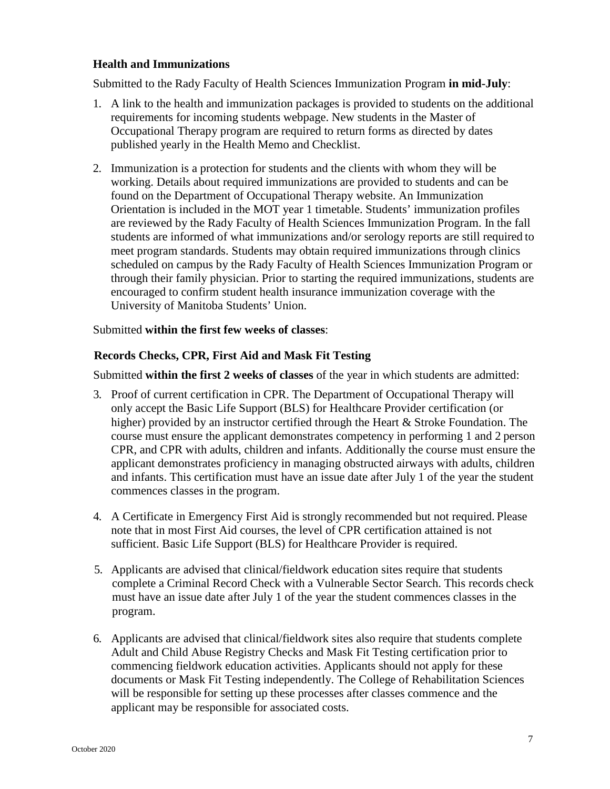#### **Health and Immunizations**

Submitted to the Rady Faculty of Health Sciences Immunization Program **in mid-July**:

- 1. A link to the health and immunization packages is provided to students on the additional requirements for incoming students webpage. New students in the Master of Occupational Therapy program are required to return forms as directed by dates published yearly in the Health Memo and Checklist.
- 2. Immunization is a protection for students and the clients with whom they will be working. Details about required immunizations are provided to students and can be found on the Department of Occupational Therapy website. An Immunization Orientation is included in the MOT year 1 timetable. Students' immunization profiles are reviewed by the Rady Faculty of Health Sciences Immunization Program. In the fall students are informed of what immunizations and/or serology reports are still required to meet program standards. Students may obtain required immunizations through clinics scheduled on campus by the Rady Faculty of Health Sciences Immunization Program or through their family physician. Prior to starting the required immunizations, students are encouraged to confirm student health insurance immunization coverage with the University of Manitoba Students' Union.

#### Submitted **within the first few weeks of classes**:

#### **Records Checks, CPR, First Aid and Mask Fit Testing**

Submitted **within the first 2 weeks of classes** of the year in which students are admitted:

- 3. Proof of current certification in CPR. The Department of Occupational Therapy will only accept the Basic Life Support (BLS) for Healthcare Provider certification (or higher) provided by an instructor certified through the Heart & Stroke Foundation. The course must ensure the applicant demonstrates competency in performing 1 and 2 person CPR, and CPR with adults, children and infants. Additionally the course must ensure the applicant demonstrates proficiency in managing obstructed airways with adults, children and infants. This certification must have an issue date after July 1 of the year the student commences classes in the program.
- 4. A Certificate in Emergency First Aid is strongly recommended but not required. Please note that in most First Aid courses, the level of CPR certification attained is not sufficient. Basic Life Support (BLS) for Healthcare Provider is required.
- 5. Applicants are advised that clinical/fieldwork education sites require that students complete a Criminal Record Check with a Vulnerable Sector Search. This records check must have an issue date after July 1 of the year the student commences classes in the program.
- 6. Applicants are advised that clinical/fieldwork sites also require that students complete Adult and Child Abuse Registry Checks and Mask Fit Testing certification prior to commencing fieldwork education activities. Applicants should not apply for these documents or Mask Fit Testing independently. The College of Rehabilitation Sciences will be responsible for setting up these processes after classes commence and the applicant may be responsible for associated costs.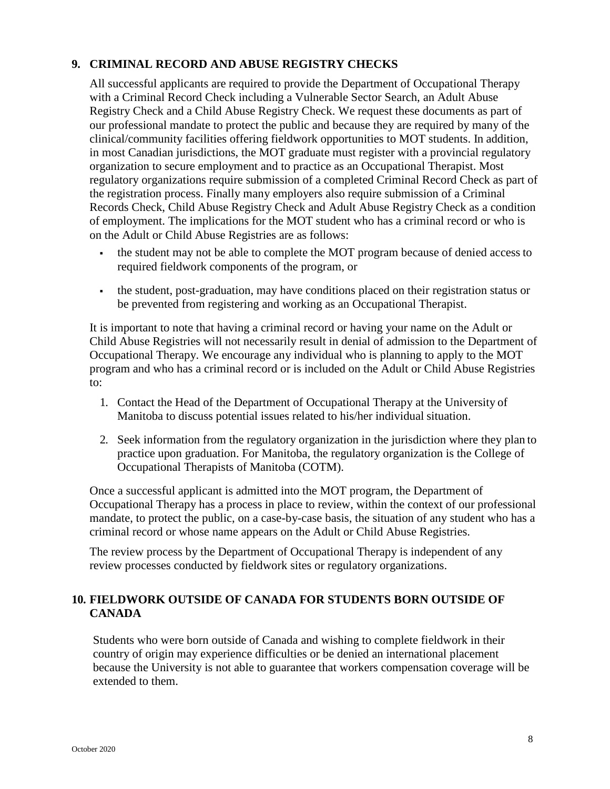#### **9. CRIMINAL RECORD AND ABUSE REGISTRY CHECKS**

All successful applicants are required to provide the Department of Occupational Therapy with a Criminal Record Check including a Vulnerable Sector Search, an Adult Abuse Registry Check and a Child Abuse Registry Check. We request these documents as part of our professional mandate to protect the public and because they are required by many of the clinical/community facilities offering fieldwork opportunities to MOT students. In addition, in most Canadian jurisdictions, the MOT graduate must register with a provincial regulatory organization to secure employment and to practice as an Occupational Therapist. Most regulatory organizations require submission of a completed Criminal Record Check as part of the registration process. Finally many employers also require submission of a Criminal Records Check, Child Abuse Registry Check and Adult Abuse Registry Check as a condition of employment. The implications for the MOT student who has a criminal record or who is on the Adult or Child Abuse Registries are as follows:

- the student may not be able to complete the MOT program because of denied access to required fieldwork components of the program, or
- the student, post-graduation, may have conditions placed on their registration status or be prevented from registering and working as an Occupational Therapist.

It is important to note that having a criminal record or having your name on the Adult or Child Abuse Registries will not necessarily result in denial of admission to the Department of Occupational Therapy. We encourage any individual who is planning to apply to the MOT program and who has a criminal record or is included on the Adult or Child Abuse Registries to:

- 1. Contact the Head of the Department of Occupational Therapy at the University of Manitoba to discuss potential issues related to his/her individual situation.
- 2. Seek information from the regulatory organization in the jurisdiction where they plan to practice upon graduation. For Manitoba, the regulatory organization is the College of Occupational Therapists of Manitoba (COTM).

Once a successful applicant is admitted into the MOT program, the Department of Occupational Therapy has a process in place to review, within the context of our professional mandate, to protect the public, on a case-by-case basis, the situation of any student who has a criminal record or whose name appears on the Adult or Child Abuse Registries.

The review process by the Department of Occupational Therapy is independent of any review processes conducted by fieldwork sites or regulatory organizations.

### **10. FIELDWORK OUTSIDE OF CANADA FOR STUDENTS BORN OUTSIDE OF CANADA**

Students who were born outside of Canada and wishing to complete fieldwork in their country of origin may experience difficulties or be denied an international placement because the University is not able to guarantee that workers compensation coverage will be extended to them.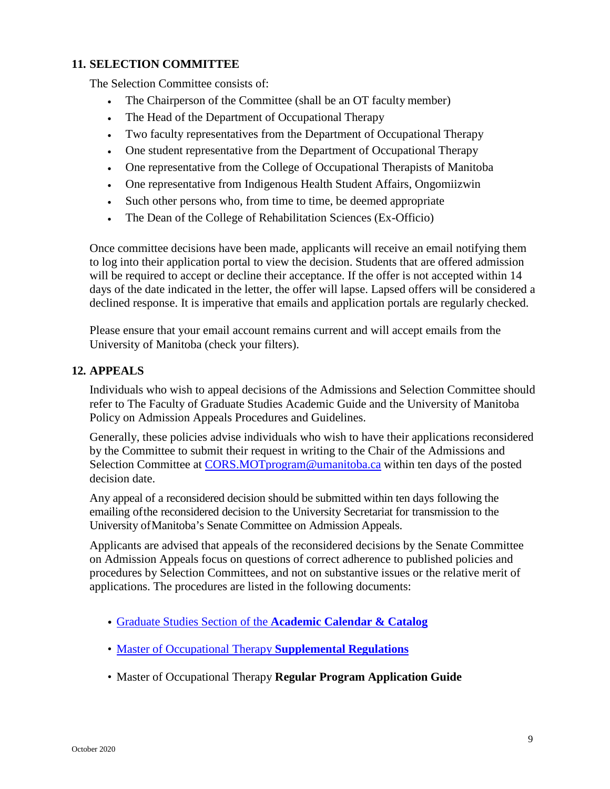#### **11. SELECTION COMMITTEE**

The Selection Committee consists of:

- The Chairperson of the Committee (shall be an OT faculty member)
- The Head of the Department of Occupational Therapy
- Two faculty representatives from the Department of Occupational Therapy
- One student representative from the Department of Occupational Therapy
- One representative from the College of Occupational Therapists of Manitoba
- One representative from Indigenous Health Student Affairs, Ongomiizwin
- Such other persons who, from time to time, be deemed appropriate
- The Dean of the College of Rehabilitation Sciences (Ex-Officio)

Once committee decisions have been made, applicants will receive an email notifying them to log into their application portal to view the decision. Students that are offered admission will be required to accept or decline their acceptance. If the offer is not accepted within 14 days of the date indicated in the letter, the offer will lapse. Lapsed offers will be considered a declined response. It is imperative that emails and application portals are regularly checked.

Please ensure that your email account remains current and will accept emails from the University of Manitoba (check your filters).

#### **12. APPEALS**

Individuals who wish to appeal decisions of the Admissions and Selection Committee should refer to The Faculty of Graduate Studies Academic Guide and the University of Manitoba Policy on Admission Appeals Procedures and Guidelines.

Generally, these policies advise individuals who wish to have their applications reconsidered by the Committee to submit their request in writing to the Chair of the Admissions and Selection Committee at [CORS.MOTprogram@umanitoba.ca](mailto:CORS.MOTprogram@umanitoba.ca) within ten days of the posted decision date.

Any appeal of a reconsidered decision should be submitted within ten days following the emailing ofthe reconsidered decision to the University Secretariat for transmission to the University ofManitoba's Senate Committee on Admission Appeals.

Applicants are advised that appeals of the reconsidered decisions by the Senate Committee on Admission Appeals focus on questions of correct adherence to published policies and procedures by Selection Committees, and not on substantive issues or the relative merit of applications. The procedures are listed in the following documents:

- [Graduate Studies Section of the](http://umanitoba.ca/faculties/graduate_studies/publications/index.html) **Academic Calendar & Catalog**
- [Master of Occupational Therapy](http://umanitoba.ca/faculties/graduate_studies/admin/supplemental_regulations.html) **Supplemental Regulations**
- Master of Occupational Therapy **Regular Program Application Guide**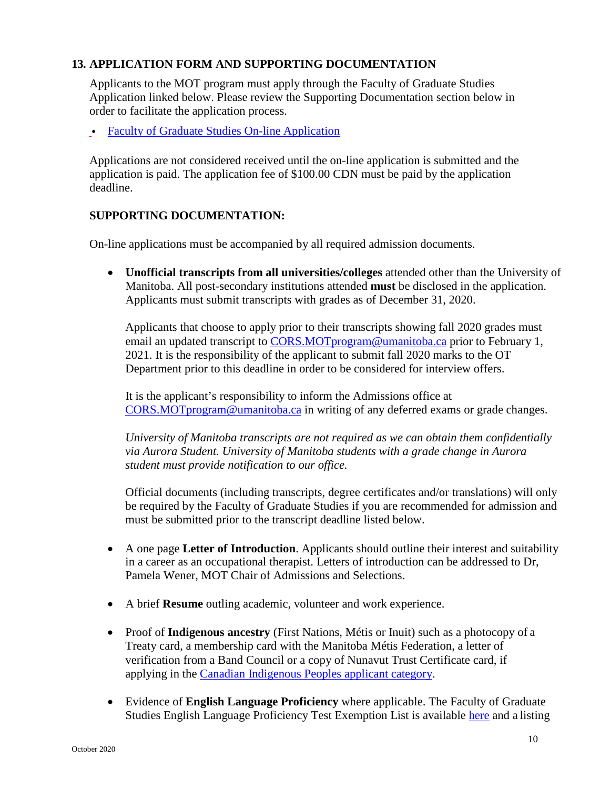### **13. APPLICATION FORM AND SUPPORTING DOCUMENTATION**

Applicants to the MOT program must apply through the Faculty of Graduate Studies Application linked below. Please review the Supporting Documentation section below in order to facilitate the application process.

• [Faculty of Graduate Studies On-line](http://umanitoba.ca/faculties/graduate_studies/admissions/programs/occupational_therapy.html) Application

Applications are not considered received until the on-line application is submitted and the application is paid. The application fee of \$100.00 CDN must be paid by the application deadline.

#### **SUPPORTING DOCUMENTATION:**

On-line applications must be accompanied by all required admission documents.

• **Unofficial transcripts from all universities/colleges** attended other than the University of Manitoba. All post-secondary institutions attended **must** be disclosed in the application. Applicants must submit transcripts with grades as of December 31, 2020.

Applicants that choose to apply prior to their transcripts showing fall 2020 grades must email an updated transcript to [CORS.MOTprogram@umanitoba.ca](mailto:CORS.MOTprogram@umanitoba.ca) prior to February 1, 2021. It is the responsibility of the applicant to submit fall 2020 marks to the OT Department prior to this deadline in order to be considered for interview offers.

It is the applicant's responsibility to inform the Admissions office at [CORS.MOTprogram@umanitoba.ca](mailto:CORS.MOTprogram@umanitoba.ca) in writing of any deferred exams or grade changes.

*University of Manitoba transcripts are not required as we can obtain them confidentially via Aurora Student. University of Manitoba students with a grade change in Aurora student must provide notification to our office.*

Official documents (including transcripts, degree certificates and/or translations) will only be required by the Faculty of Graduate Studies if you are recommended for admission and must be submitted prior to the transcript deadline listed below.

- A one page **Letter of Introduction**. Applicants should outline their interest and suitability in a career as an occupational therapist. Letters of introduction can be addressed to Dr, Pamela Wener, MOT Chair of Admissions and Selections.
- A brief **Resume** outling academic, volunteer and work experience.
- Proof of **Indigenous ancestry** (First Nations, Métis or Inuit) such as a photocopy of a Treaty card, a membership card with the Manitoba Métis Federation, a letter of verification from a Band Council or a copy of Nunavut Trust Certificate card, if applying in the [Canadian Indigenous Peoples applicant](http://umanitoba.ca/rehabsciences/cors-cdn-indigenous-applicant-category.html) category.
- Evidence of **English Language Proficiency** where applicable. The Faculty of Graduate Studies [English Language Proficiency Test Exemption List i](http://umanitoba.ca/faculties/graduate_studies/admissions/english_exemption_list.html)s available [here](http://umanitoba.ca/faculties/graduate_studies/admissions/english_exemption_list.html) and a listing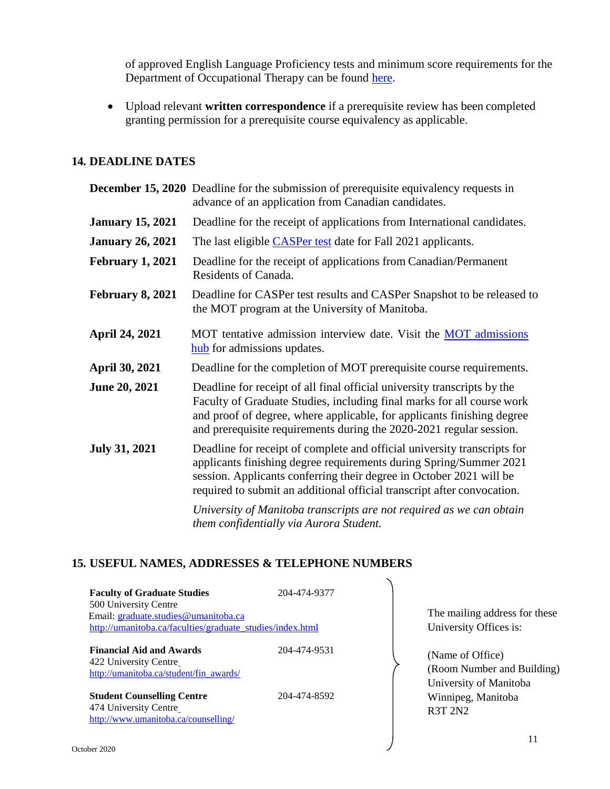of approved English Language Proficiency tests and minimum score requirements for the Department of Occupational Therapy can be found [here.](http://umanitoba.ca/faculties/graduate_studies/admissions/programs/occupational_therapy.html)

• Upload relevant **written correspondence** if a prerequisite review has been completed granting permission for a prerequisite course equivalency as applicable.

#### **14. DEADLINE DATES**

|                         | <b>December 15, 2020</b> Deadline for the submission of prerequisite equivalency requests in<br>advance of an application from Canadian candidates.                                                                                                                                                 |  |  |
|-------------------------|-----------------------------------------------------------------------------------------------------------------------------------------------------------------------------------------------------------------------------------------------------------------------------------------------------|--|--|
| <b>January 15, 2021</b> | Deadline for the receipt of applications from International candidates.                                                                                                                                                                                                                             |  |  |
| <b>January 26, 2021</b> | The last eligible CASPer test date for Fall 2021 applicants.                                                                                                                                                                                                                                        |  |  |
| <b>February 1, 2021</b> | Deadline for the receipt of applications from Canadian/Permanent<br>Residents of Canada.                                                                                                                                                                                                            |  |  |
| <b>February 8, 2021</b> | Deadline for CASPer test results and CASPer Snapshot to be released to<br>the MOT program at the University of Manitoba.                                                                                                                                                                            |  |  |
| <b>April 24, 2021</b>   | MOT tentative admission interview date. Visit the MOT admissions<br>hub for admissions updates.                                                                                                                                                                                                     |  |  |
| <b>April 30, 2021</b>   | Deadline for the completion of MOT prerequisite course requirements.                                                                                                                                                                                                                                |  |  |
| <b>June 20, 2021</b>    | Deadline for receipt of all final official university transcripts by the<br>Faculty of Graduate Studies, including final marks for all course work<br>and proof of degree, where applicable, for applicants finishing degree<br>and prerequisite requirements during the 2020-2021 regular session. |  |  |
| <b>July 31, 2021</b>    | Deadline for receipt of complete and official university transcripts for<br>applicants finishing degree requirements during Spring/Summer 2021<br>session. Applicants conferring their degree in October 2021 will be<br>required to submit an additional official transcript after convocation.    |  |  |
|                         | University of Manitoba transcripts are not required as we can obtain<br>them confidentially via Aurora Student.                                                                                                                                                                                     |  |  |

### **15. USEFUL NAMES, ADDRESSES & TELEPHONE NUMBERS**

| <b>Faculty of Graduate Studies</b><br>500 University Centre<br>Email: graduate.studies@umanitoba.ca<br>http://umanitoba.ca/faculties/graduate_studies/index.html | 204-474-9377 |  |
|------------------------------------------------------------------------------------------------------------------------------------------------------------------|--------------|--|
| <b>Financial Aid and Awards</b><br>422 University Centre<br>http://umanitoba.ca/student/fin_awards/                                                              | 204-474-9531 |  |
| <b>Student Counselling Centre</b><br>474 University Centre<br>http://www.umanitoba.ca/counselling/                                                               | 204-474-8592 |  |

The mailing address for these University Offices is:

(Name of Office) (Room Number and Building) University of Manitoba Winnipeg, Manitoba R3T 2N2